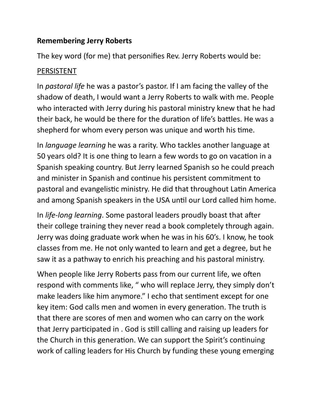## **Remembering Jerry Roberts**

The key word (for me) that personifies Rev. Jerry Roberts would be:

## PERSISTENT

In *pastoral life* he was a pastor's pastor. If I am facing the valley of the shadow of death, I would want a Jerry Roberts to walk with me. People who interacted with Jerry during his pastoral ministry knew that he had their back, he would be there for the duration of life's battles. He was a shepherd for whom every person was unique and worth his time.

In *language learning* he was a rarity. Who tackles another language at 50 years old? It is one thing to learn a few words to go on vacation in a Spanish speaking country. But Jerry learned Spanish so he could preach and minister in Spanish and continue his persistent commitment to pastoral and evangelistic ministry. He did that throughout Latin America and among Spanish speakers in the USA until our Lord called him home.

In *life-long learning*. Some pastoral leaders proudly boast that after their college training they never read a book completely through again. Jerry was doing graduate work when he was in his 60's. I know, he took classes from me. He not only wanted to learn and get a degree, but he saw it as a pathway to enrich his preaching and his pastoral ministry.

When people like Jerry Roberts pass from our current life, we often respond with comments like, " who will replace Jerry, they simply don't make leaders like him anymore." I echo that sentiment except for one key item: God calls men and women in every generation. The truth is that there are scores of men and women who can carry on the work that Jerry participated in . God is still calling and raising up leaders for the Church in this generation. We can support the Spirit's continuing work of calling leaders for His Church by funding these young emerging